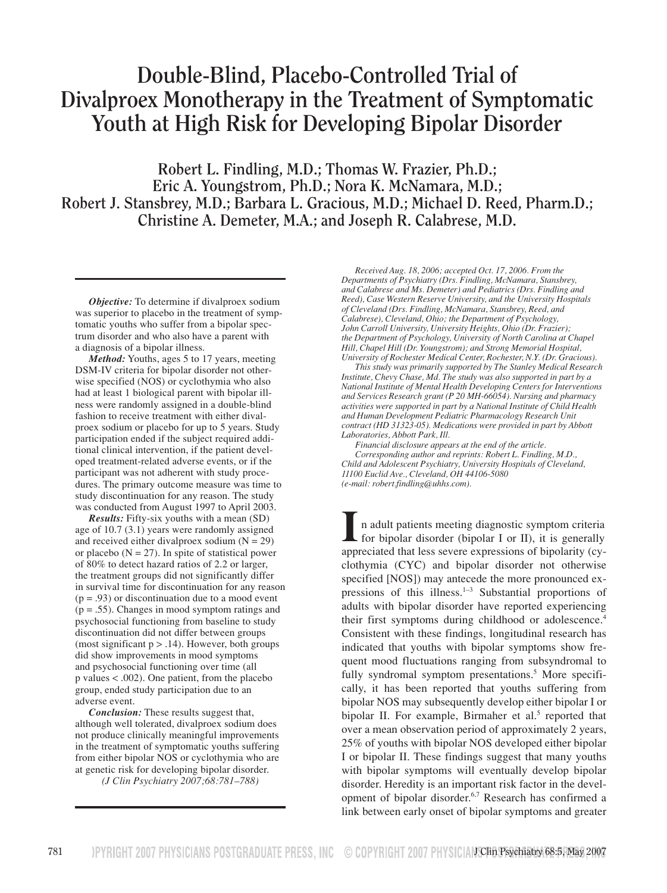# **Double-Blind, Placebo-Controlled Trial of Divalproex Monotherapy in the Treatment of Symptomatic Youth at High Risk for Developing Bipolar Disorder**

**Robert L. Findling, M.D.; Thomas W. Frazier, Ph.D.; Eric A. Youngstrom, Ph.D.; Nora K. McNamara, M.D.; Robert J. Stansbrey, M.D.; Barbara L. Gracious, M.D.; Michael D. Reed, Pharm.D.; Christine A. Demeter, M.A.; and Joseph R. Calabrese, M.D.**

*Objective:* To determine if divalproex sodium was superior to placebo in the treatment of symptomatic youths who suffer from a bipolar spectrum disorder and who also have a parent with a diagnosis of a bipolar illness.

*Method:* Youths, ages 5 to 17 years, meeting DSM-IV criteria for bipolar disorder not otherwise specified (NOS) or cyclothymia who also had at least 1 biological parent with bipolar illness were randomly assigned in a double-blind fashion to receive treatment with either divalproex sodium or placebo for up to 5 years. Study participation ended if the subject required additional clinical intervention, if the patient developed treatment-related adverse events, or if the participant was not adherent with study procedures. The primary outcome measure was time to study discontinuation for any reason. The study was conducted from August 1997 to April 2003.

*Results:* Fifty-six youths with a mean (SD) age of 10.7 (3.1) years were randomly assigned and received either divalproex sodium  $(N = 29)$ or placebo ( $N = 27$ ). In spite of statistical power of 80% to detect hazard ratios of 2.2 or larger, the treatment groups did not significantly differ in survival time for discontinuation for any reason  $(p = .93)$  or discontinuation due to a mood event (p = .55). Changes in mood symptom ratings and psychosocial functioning from baseline to study discontinuation did not differ between groups (most significant  $p > .14$ ). However, both groups did show improvements in mood symptoms and psychosocial functioning over time (all p values < .002). One patient, from the placebo group, ended study participation due to an adverse event.

*Conclusion:* These results suggest that, although well tolerated, divalproex sodium does not produce clinically meaningful improvements in the treatment of symptomatic youths suffering from either bipolar NOS or cyclothymia who are at genetic risk for developing bipolar disorder.

*(J Clin Psychiatry 2007;68:781–788)*

*Received Aug. 18, 2006; accepted Oct. 17, 2006. From the Departments of Psychiatry (Drs. Findling, McNamara, Stansbrey, and Calabrese and Ms. Demeter) and Pediatrics (Drs. Findling and Reed), Case Western Reserve University, and the University Hospitals of Cleveland (Drs. Findling, McNamara, Stansbrey, Reed, and Calabrese), Cleveland, Ohio; the Department of Psychology, John Carroll University, University Heights, Ohio (Dr. Frazier); the Department of Psychology, University of North Carolina at Chapel Hill, Chapel Hill (Dr. Youngstrom); and Strong Memorial Hospital, University of Rochester Medical Center, Rochester, N.Y. (Dr. Gracious).*

*This study was primarily supported by The Stanley Medical Research Institute, Chevy Chase, Md. The study was also supported in part by a National Institute of Mental Health Developing Centers for Interventions and Services Research grant (P 20 MH-66054). Nursing and pharmacy activities were supported in part by a National Institute of Child Health and Human Development Pediatric Pharmacology Research Unit contract (HD 31323-05). Medications were provided in part by Abbott Laboratories, Abbott Park, Ill.*

*Financial disclosure appears at the end of the article. Corresponding author and reprints: Robert L. Findling, M.D., Child and Adolescent Psychiatry, University Hospitals of Cleveland, 11100 Euclid Ave., Cleveland, OH 44106-5080 (e-mail: robert.findling@uhhs.com).*

I n adult patients meeting diagnostic symptom criteria<br>for bipolar disorder (bipolar I or II), it is generally<br>appreciated that less severe expressions of bipolarity (cyclothymia (CYC) and bipolar disorder not otherwise specified [NOS]) may antecede the more pronounced expressions of this illness. $1-3$  Substantial proportions of adults with bipolar disorder have reported experiencing their first symptoms during childhood or adolescence.<sup>4</sup> Consistent with these findings, longitudinal research has indicated that youths with bipolar symptoms show frequent mood fluctuations ranging from subsyndromal to fully syndromal symptom presentations.<sup>5</sup> More specifically, it has been reported that youths suffering from bipolar NOS may subsequently develop either bipolar I or bipolar II. For example, Birmaher et al.<sup>5</sup> reported that over a mean observation period of approximately 2 years, 25% of youths with bipolar NOS developed either bipolar I or bipolar II. These findings suggest that many youths with bipolar symptoms will eventually develop bipolar disorder. Heredity is an important risk factor in the development of bipolar disorder.<sup>6,7</sup> Research has confirmed a link between early onset of bipolar symptoms and greater n adult patients meeting diagnostic symptom criteria  $\mathsf L$  for bipolar disorder (bipolar I or II), it is generally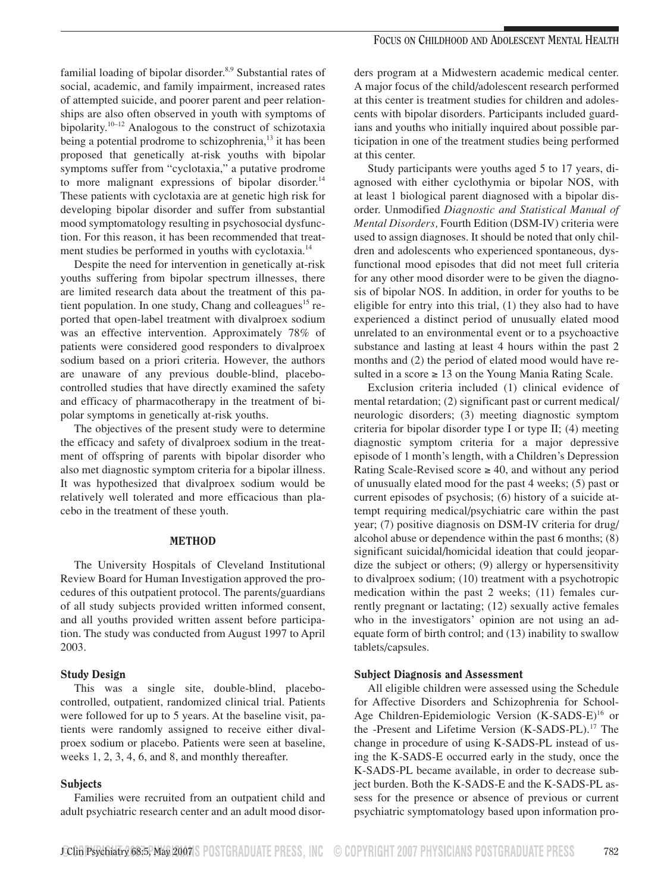familial loading of bipolar disorder.<sup>8,9</sup> Substantial rates of social, academic, and family impairment, increased rates of attempted suicide, and poorer parent and peer relationships are also often observed in youth with symptoms of bipolarity.<sup>10–12</sup> Analogous to the construct of schizotaxia being a potential prodrome to schizophrenia,<sup>13</sup> it has been proposed that genetically at-risk youths with bipolar symptoms suffer from "cyclotaxia," a putative prodrome to more malignant expressions of bipolar disorder. $14$ These patients with cyclotaxia are at genetic high risk for developing bipolar disorder and suffer from substantial mood symptomatology resulting in psychosocial dysfunction. For this reason, it has been recommended that treatment studies be performed in youths with cyclotaxia.<sup>14</sup>

Despite the need for intervention in genetically at-risk youths suffering from bipolar spectrum illnesses, there are limited research data about the treatment of this patient population. In one study, Chang and colleagues<sup>15</sup> reported that open-label treatment with divalproex sodium was an effective intervention. Approximately 78% of patients were considered good responders to divalproex sodium based on a priori criteria. However, the authors are unaware of any previous double-blind, placebocontrolled studies that have directly examined the safety and efficacy of pharmacotherapy in the treatment of bipolar symptoms in genetically at-risk youths.

The objectives of the present study were to determine the efficacy and safety of divalproex sodium in the treatment of offspring of parents with bipolar disorder who also met diagnostic symptom criteria for a bipolar illness. It was hypothesized that divalproex sodium would be relatively well tolerated and more efficacious than placebo in the treatment of these youth.

## METHOD

The University Hospitals of Cleveland Institutional Review Board for Human Investigation approved the procedures of this outpatient protocol. The parents/guardians of all study subjects provided written informed consent, and all youths provided written assent before participation. The study was conducted from August 1997 to April 2003.

## Study Design

This was a single site, double-blind, placebocontrolled, outpatient, randomized clinical trial. Patients were followed for up to 5 years. At the baseline visit, patients were randomly assigned to receive either divalproex sodium or placebo. Patients were seen at baseline, weeks  $1, 2, 3, 4, 6$ , and  $8$ , and monthly thereafter.

## Subjects

Families were recruited from an outpatient child and adult psychiatric research center and an adult mood disorders program at a Midwestern academic medical center. A major focus of the child/adolescent research performed at this center is treatment studies for children and adolescents with bipolar disorders. Participants included guardians and youths who initially inquired about possible participation in one of the treatment studies being performed at this center.

Study participants were youths aged 5 to 17 years, diagnosed with either cyclothymia or bipolar NOS, with at least 1 biological parent diagnosed with a bipolar disorder. Unmodified *Diagnostic and Statistical Manual of Mental Disorders,* Fourth Edition (DSM-IV) criteria were used to assign diagnoses. It should be noted that only children and adolescents who experienced spontaneous, dysfunctional mood episodes that did not meet full criteria for any other mood disorder were to be given the diagnosis of bipolar NOS. In addition, in order for youths to be eligible for entry into this trial, (1) they also had to have experienced a distinct period of unusually elated mood unrelated to an environmental event or to a psychoactive substance and lasting at least 4 hours within the past 2 months and (2) the period of elated mood would have resulted in a score  $\geq 13$  on the Young Mania Rating Scale.

Exclusion criteria included (1) clinical evidence of mental retardation; (2) significant past or current medical/ neurologic disorders; (3) meeting diagnostic symptom criteria for bipolar disorder type I or type II; (4) meeting diagnostic symptom criteria for a major depressive episode of 1 month's length, with a Children's Depression Rating Scale-Revised score  $\geq$  40, and without any period of unusually elated mood for the past 4 weeks; (5) past or current episodes of psychosis; (6) history of a suicide attempt requiring medical/psychiatric care within the past year; (7) positive diagnosis on DSM-IV criteria for drug/ alcohol abuse or dependence within the past 6 months; (8) significant suicidal/homicidal ideation that could jeopardize the subject or others; (9) allergy or hypersensitivity to divalproex sodium; (10) treatment with a psychotropic medication within the past 2 weeks; (11) females currently pregnant or lactating; (12) sexually active females who in the investigators' opinion are not using an adequate form of birth control; and (13) inability to swallow tablets/capsules.

# Subject Diagnosis and Assessment

All eligible children were assessed using the Schedule for Affective Disorders and Schizophrenia for School-Age Children-Epidemiologic Version (K-SADS-E)<sup>16</sup> or the -Present and Lifetime Version (K-SADS-PL).<sup>17</sup> The change in procedure of using K-SADS-PL instead of using the K-SADS-E occurred early in the study, once the K-SADS-PL became available, in order to decrease subject burden. Both the K-SADS-E and the K-SADS-PL assess for the presence or absence of previous or current psychiatric symptomatology based upon information pro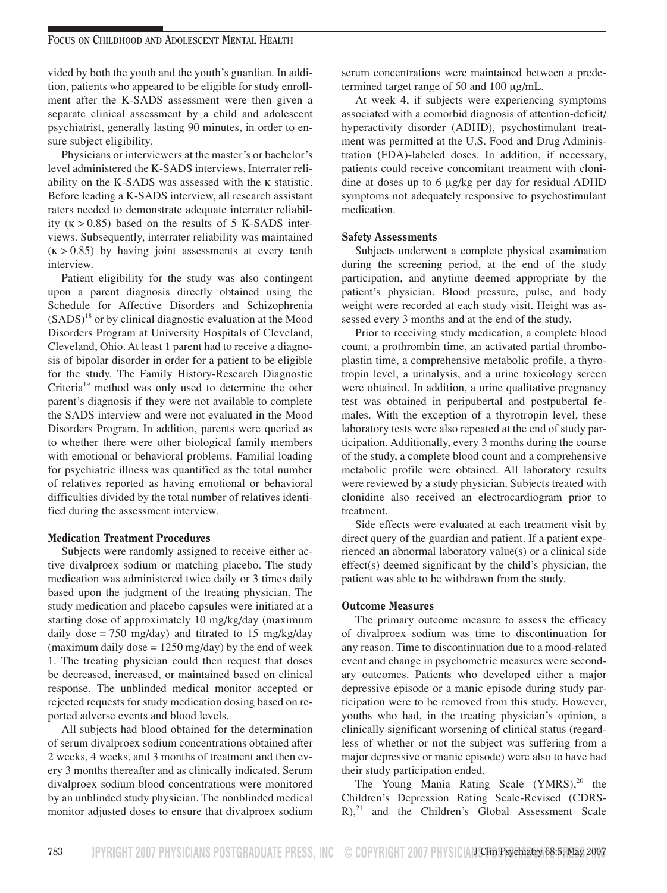vided by both the youth and the youth's guardian. In addition, patients who appeared to be eligible for study enrollment after the K-SADS assessment were then given a separate clinical assessment by a child and adolescent psychiatrist, generally lasting 90 minutes, in order to ensure subject eligibility.

Physicians or interviewers at the master's or bachelor's level administered the K-SADS interviews. Interrater reliability on the K-SADS was assessed with the κ statistic. Before leading a K-SADS interview, all research assistant raters needed to demonstrate adequate interrater reliability  $(\kappa > 0.85)$  based on the results of 5 K-SADS interviews. Subsequently, interrater reliability was maintained  $(k > 0.85)$  by having joint assessments at every tenth interview.

Patient eligibility for the study was also contingent upon a parent diagnosis directly obtained using the Schedule for Affective Disorders and Schizophrenia  $(SADS)<sup>18</sup>$  or by clinical diagnostic evaluation at the Mood Disorders Program at University Hospitals of Cleveland, Cleveland, Ohio. At least 1 parent had to receive a diagnosis of bipolar disorder in order for a patient to be eligible for the study. The Family History-Research Diagnostic Criteria<sup>19</sup> method was only used to determine the other parent's diagnosis if they were not available to complete the SADS interview and were not evaluated in the Mood Disorders Program. In addition, parents were queried as to whether there were other biological family members with emotional or behavioral problems. Familial loading for psychiatric illness was quantified as the total number of relatives reported as having emotional or behavioral difficulties divided by the total number of relatives identified during the assessment interview.

# Medication Treatment Procedures

Subjects were randomly assigned to receive either active divalproex sodium or matching placebo. The study medication was administered twice daily or 3 times daily based upon the judgment of the treating physician. The study medication and placebo capsules were initiated at a starting dose of approximately 10 mg/kg/day (maximum daily dose = 750 mg/day) and titrated to 15 mg/kg/day (maximum daily dose  $= 1250$  mg/day) by the end of week 1. The treating physician could then request that doses be decreased, increased, or maintained based on clinical response. The unblinded medical monitor accepted or rejected requests for study medication dosing based on reported adverse events and blood levels.

All subjects had blood obtained for the determination of serum divalproex sodium concentrations obtained after 2 weeks, 4 weeks, and 3 months of treatment and then every 3 months thereafter and as clinically indicated. Serum divalproex sodium blood concentrations were monitored by an unblinded study physician. The nonblinded medical monitor adjusted doses to ensure that divalproex sodium serum concentrations were maintained between a predetermined target range of 50 and 100 µg/mL.

At week 4, if subjects were experiencing symptoms associated with a comorbid diagnosis of attention-deficit/ hyperactivity disorder (ADHD), psychostimulant treatment was permitted at the U.S. Food and Drug Administration (FDA)-labeled doses. In addition, if necessary, patients could receive concomitant treatment with clonidine at doses up to 6 µg/kg per day for residual ADHD symptoms not adequately responsive to psychostimulant medication.

## Safety Assessments

Subjects underwent a complete physical examination during the screening period, at the end of the study participation, and anytime deemed appropriate by the patient's physician. Blood pressure, pulse, and body weight were recorded at each study visit. Height was assessed every 3 months and at the end of the study.

Prior to receiving study medication, a complete blood count, a prothrombin time, an activated partial thromboplastin time, a comprehensive metabolic profile, a thyrotropin level, a urinalysis, and a urine toxicology screen were obtained. In addition, a urine qualitative pregnancy test was obtained in peripubertal and postpubertal females. With the exception of a thyrotropin level, these laboratory tests were also repeated at the end of study participation. Additionally, every 3 months during the course of the study, a complete blood count and a comprehensive metabolic profile were obtained. All laboratory results were reviewed by a study physician. Subjects treated with clonidine also received an electrocardiogram prior to treatment.

Side effects were evaluated at each treatment visit by direct query of the guardian and patient. If a patient experienced an abnormal laboratory value(s) or a clinical side effect(s) deemed significant by the child's physician, the patient was able to be withdrawn from the study.

## Outcome Measures

The primary outcome measure to assess the efficacy of divalproex sodium was time to discontinuation for any reason. Time to discontinuation due to a mood-related event and change in psychometric measures were secondary outcomes. Patients who developed either a major depressive episode or a manic episode during study participation were to be removed from this study. However, youths who had, in the treating physician's opinion, a clinically significant worsening of clinical status (regardless of whether or not the subject was suffering from a major depressive or manic episode) were also to have had their study participation ended.

The Young Mania Rating Scale  $(YMRS),^{20}$  the Children's Depression Rating Scale-Revised (CDRS- $R$ ),<sup>21</sup> and the Children's Global Assessment Scale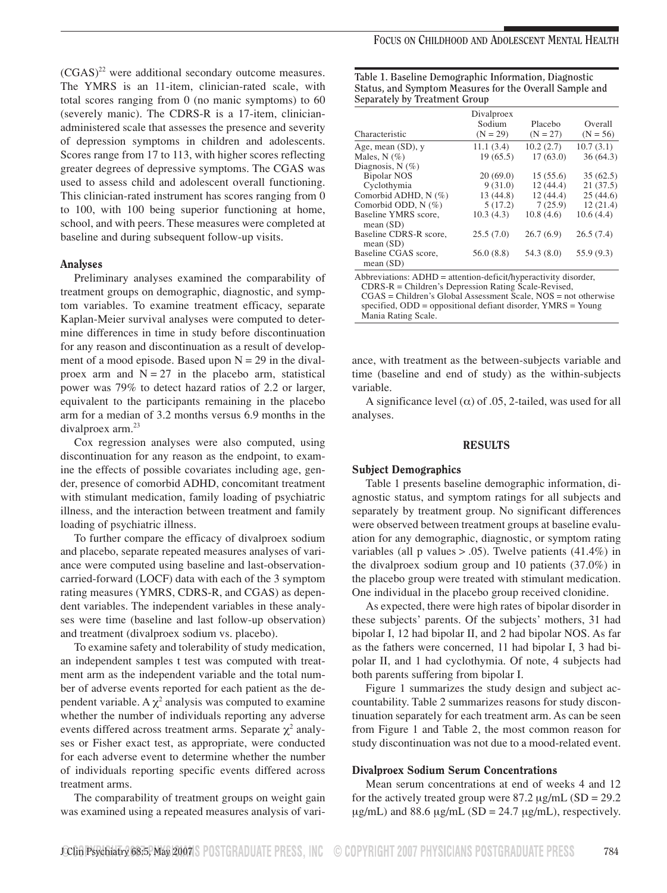$(CGAS)^{22}$  were additional secondary outcome measures. The YMRS is an 11-item, clinician-rated scale, with total scores ranging from 0 (no manic symptoms) to 60 (severely manic). The CDRS-R is a 17-item, clinicianadministered scale that assesses the presence and severity of depression symptoms in children and adolescents. Scores range from 17 to 113, with higher scores reflecting greater degrees of depressive symptoms. The CGAS was used to assess child and adolescent overall functioning. This clinician-rated instrument has scores ranging from 0 to 100, with 100 being superior functioning at home, school, and with peers. These measures were completed at baseline and during subsequent follow-up visits.

#### Analyses

Preliminary analyses examined the comparability of treatment groups on demographic, diagnostic, and symptom variables. To examine treatment efficacy, separate Kaplan-Meier survival analyses were computed to determine differences in time in study before discontinuation for any reason and discontinuation as a result of development of a mood episode. Based upon  $N = 29$  in the divalproex arm and  $N = 27$  in the placebo arm, statistical power was 79% to detect hazard ratios of 2.2 or larger, equivalent to the participants remaining in the placebo arm for a median of 3.2 months versus 6.9 months in the divalproex  $arm.<sup>23</sup>$ 

Cox regression analyses were also computed, using discontinuation for any reason as the endpoint, to examine the effects of possible covariates including age, gender, presence of comorbid ADHD, concomitant treatment with stimulant medication, family loading of psychiatric illness, and the interaction between treatment and family loading of psychiatric illness.

To further compare the efficacy of divalproex sodium and placebo, separate repeated measures analyses of variance were computed using baseline and last-observationcarried-forward (LOCF) data with each of the 3 symptom rating measures (YMRS, CDRS-R, and CGAS) as dependent variables. The independent variables in these analyses were time (baseline and last follow-up observation) and treatment (divalproex sodium vs. placebo).

To examine safety and tolerability of study medication, an independent samples t test was computed with treatment arm as the independent variable and the total number of adverse events reported for each patient as the dependent variable. A  $\chi^2$  analysis was computed to examine whether the number of individuals reporting any adverse events differed across treatment arms. Separate  $\chi^2$  analyses or Fisher exact test, as appropriate, were conducted for each adverse event to determine whether the number of individuals reporting specific events differed across treatment arms.

The comparability of treatment groups on weight gain was examined using a repeated measures analysis of vari-

| Table 1. Baseline Demographic Information, Diagnostic   |
|---------------------------------------------------------|
| Status, and Symptom Measures for the Overall Sample and |
| Separately by Treatment Group                           |

| Characteristic                        | Divalproex<br>Sodium<br>$(N = 29)$ | Placebo<br>$(N = 27)$ | Overall<br>$(N = 56)$ |
|---------------------------------------|------------------------------------|-----------------------|-----------------------|
| Age, mean $(SD)$ , y                  | 11.1(3.4)                          | 10.2(2.7)             | 10.7(3.1)             |
| Males, N $(\%)$                       | 19(65.5)                           | 17(63.0)              | 36(64.3)              |
| Diagnosis, $N(\%)$                    |                                    |                       |                       |
| <b>Bipolar NOS</b>                    | 20(69.0)                           | 15(55.6)              | 35(62.5)              |
| Cyclothymia                           | 9(31.0)                            | 12(44.4)              | 21(37.5)              |
| Comorbid ADHD, $N$ (%)                | 13 (44.8)                          | 12(44.4)              | 25(44.6)              |
| Comorbid ODD, $N$ (%)                 | 5(17.2)                            | 7(25.9)               | 12(21.4)              |
| Baseline YMRS score,<br>mean(SD)      | 10.3(4.3)                          | 10.8(4.6)             | 10.6(4.4)             |
| Baseline CDRS-R score,<br>mean $(SD)$ | 25.5(7.0)                          | 26.7(6.9)             | 26.5(7.4)             |
| Baseline CGAS score,<br>mean $(SD)$   | 56.0(8.8)                          | 54.3(8.0)             | 55.9 (9.3)            |

Abbreviations: ADHD = attention-deficit/hyperactivity disorder,

CDRS-R = Children's Depression Rating Scale-Revised,

CGAS = Children's Global Assessment Scale, NOS = not otherwise specified, ODD = oppositional defiant disorder, YMRS = Young Mania Rating Scale.

ance, with treatment as the between-subjects variable and time (baseline and end of study) as the within-subjects variable.

A significance level ( $\alpha$ ) of .05, 2-tailed, was used for all analyses.

#### RESULTS

#### Subject Demographics

Table 1 presents baseline demographic information, diagnostic status, and symptom ratings for all subjects and separately by treatment group. No significant differences were observed between treatment groups at baseline evaluation for any demographic, diagnostic, or symptom rating variables (all p values  $> .05$ ). Twelve patients (41.4%) in the divalproex sodium group and 10 patients (37.0%) in the placebo group were treated with stimulant medication. One individual in the placebo group received clonidine.

As expected, there were high rates of bipolar disorder in these subjects' parents. Of the subjects' mothers, 31 had bipolar I, 12 had bipolar II, and 2 had bipolar NOS. As far as the fathers were concerned, 11 had bipolar I, 3 had bipolar II, and 1 had cyclothymia. Of note, 4 subjects had both parents suffering from bipolar I.

Figure 1 summarizes the study design and subject accountability. Table 2 summarizes reasons for study discontinuation separately for each treatment arm. As can be seen from Figure 1 and Table 2, the most common reason for study discontinuation was not due to a mood-related event.

#### Divalproex Sodium Serum Concentrations

Mean serum concentrations at end of weeks 4 and 12 for the actively treated group were  $87.2 \mu g/mL$  (SD = 29.2)  $\mu$ g/mL) and 88.6  $\mu$ g/mL (SD = 24.7  $\mu$ g/mL), respectively.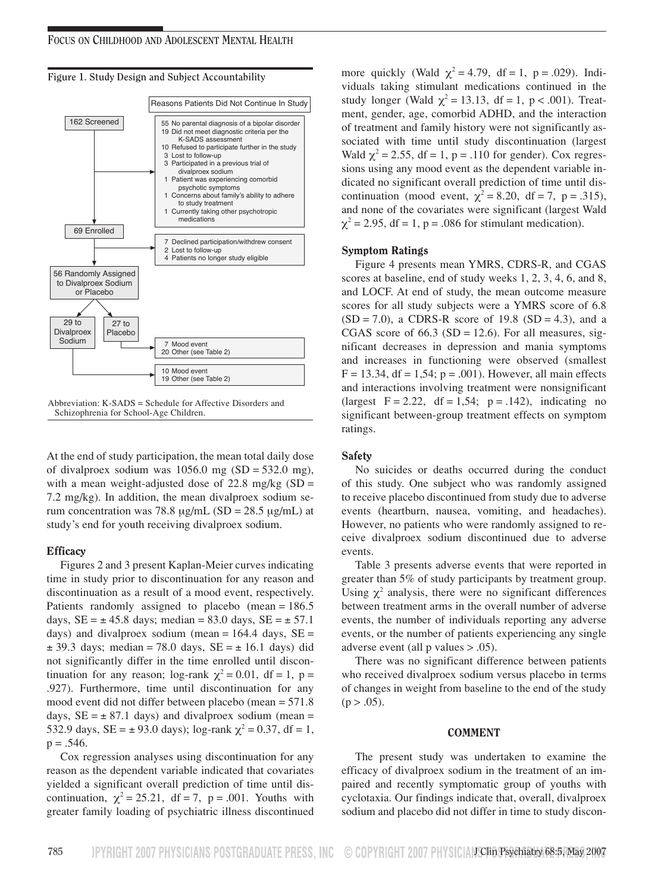

**Figure 1. Study Design and Subject Accountability**

Abbreviation: K-SADS = Schedule for Affective Disorders and Schizophrenia for School-Age Children.

At the end of study participation, the mean total daily dose of divalproex sodium was  $1056.0$  mg (SD = 532.0 mg), with a mean weight-adjusted dose of  $22.8 \text{ mg/kg}$  (SD = 7.2 mg/kg). In addition, the mean divalproex sodium serum concentration was 78.8  $\mu$ g/mL (SD = 28.5  $\mu$ g/mL) at study's end for youth receiving divalproex sodium.

## **Efficacy**

Figures 2 and 3 present Kaplan-Meier curves indicating time in study prior to discontinuation for any reason and discontinuation as a result of a mood event, respectively. Patients randomly assigned to placebo (mean = 186.5 days,  $SE = \pm 45.8$  days; median = 83.0 days,  $SE = \pm 57.1$ days) and divalproex sodium (mean =  $164.4$  days,  $SE =$  $\pm$  39.3 days; median = 78.0 days, SE =  $\pm$  16.1 days) did not significantly differ in the time enrolled until discontinuation for any reason; log-rank  $\chi^2 = 0.01$ , df = 1, p = .927). Furthermore, time until discontinuation for any mood event did not differ between placebo (mean = 571.8 days,  $SE = \pm 87.1$  days) and divalproex sodium (mean = 532.9 days,  $SE = \pm 93.0$  days); log-rank  $\chi^2 = 0.37$ , df = 1,  $p = .546$ .

Cox regression analyses using discontinuation for any reason as the dependent variable indicated that covariates yielded a significant overall prediction of time until discontinuation,  $\chi^2 = 25.21$ , df = 7, p = .001. Youths with greater family loading of psychiatric illness discontinued

more quickly (Wald  $\chi^2 = 4.79$ , df = 1, p = .029). Individuals taking stimulant medications continued in the study longer (Wald  $\chi^2 = 13.13$ , df = 1, p < .001). Treatment, gender, age, comorbid ADHD, and the interaction of treatment and family history were not significantly associated with time until study discontinuation (largest Wald  $\chi^2 = 2.55$ , df = 1, p = .110 for gender). Cox regressions using any mood event as the dependent variable indicated no significant overall prediction of time until discontinuation (mood event,  $\chi^2 = 8.20$ , df = 7, p = .315), and none of the covariates were significant (largest Wald  $\chi^2$  = 2.95, df = 1, p = .086 for stimulant medication).

### Symptom Ratings

Figure 4 presents mean YMRS, CDRS-R, and CGAS scores at baseline, end of study weeks 1, 2, 3, 4, 6, and 8, and LOCF. At end of study, the mean outcome measure scores for all study subjects were a YMRS score of 6.8  $(SD = 7.0)$ , a CDRS-R score of 19.8  $(SD = 4.3)$ , and a CGAS score of  $66.3$  (SD = 12.6). For all measures, significant decreases in depression and mania symptoms and increases in functioning were observed (smallest  $F = 13.34$ ,  $df = 1,54$ ;  $p = .001$ ). However, all main effects and interactions involving treatment were nonsignificant (largest  $F = 2.22$ ,  $df = 1.54$ ;  $p = .142$ ), indicating no significant between-group treatment effects on symptom ratings.

#### **Safety**

No suicides or deaths occurred during the conduct of this study. One subject who was randomly assigned to receive placebo discontinued from study due to adverse events (heartburn, nausea, vomiting, and headaches). However, no patients who were randomly assigned to receive divalproex sodium discontinued due to adverse events.

Table 3 presents adverse events that were reported in greater than 5% of study participants by treatment group. Using  $\chi^2$  analysis, there were no significant differences between treatment arms in the overall number of adverse events, the number of individuals reporting any adverse events, or the number of patients experiencing any single adverse event (all p values > .05).

There was no significant difference between patients who received divalproex sodium versus placebo in terms of changes in weight from baseline to the end of the study  $(p > .05)$ .

#### COMMENT

The present study was undertaken to examine the efficacy of divalproex sodium in the treatment of an impaired and recently symptomatic group of youths with cyclotaxia. Our findings indicate that, overall, divalproex sodium and placebo did not differ in time to study discon-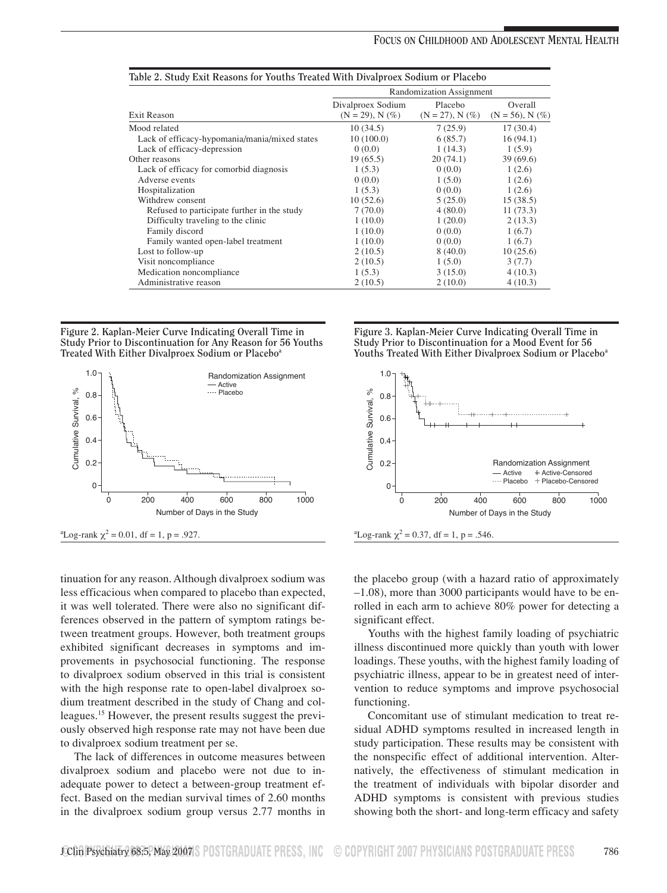|                                               | Randomization Assignment |                       |                       |  |
|-----------------------------------------------|--------------------------|-----------------------|-----------------------|--|
|                                               | Divalproex Sodium        | Placebo               | Overall               |  |
| Exit Reason                                   | $(N = 29)$ , N $(\%)$    | $(N = 27)$ , N $(\%)$ | $(N = 56)$ , N $(\%)$ |  |
| Mood related                                  | 10(34.5)                 | 7(25.9)               | 17(30.4)              |  |
| Lack of efficacy-hypomania/mania/mixed states | 10(100.0)                | 6(85.7)               | 16(94.1)              |  |
| Lack of efficacy-depression                   | 0(0.0)                   | 1(14.3)               | 1(5.9)                |  |
| Other reasons                                 | 19(65.5)                 | 20(74.1)              | 39(69.6)              |  |
| Lack of efficacy for comorbid diagnosis       | 1(5.3)                   | 0(0.0)                | 1(2.6)                |  |
| Adverse events                                | 0(0.0)                   | 1(5.0)                | 1(2.6)                |  |
| Hospitalization                               | 1(5.3)                   | 0(0.0)                | 1(2.6)                |  |
| Withdrew consent                              | 10(52.6)                 | 5(25.0)               | 15(38.5)              |  |
| Refused to participate further in the study   | 7(70.0)                  | 4(80.0)               | 11(73.3)              |  |
| Difficulty traveling to the clinic            | 1(10.0)                  | 1(20.0)               | 2(13.3)               |  |
| Family discord                                | 1(10.0)                  | 0(0.0)                | 1(6.7)                |  |
| Family wanted open-label treatment            | 1(10.0)                  | 0(0.0)                | 1(6.7)                |  |
| Lost to follow-up                             | 2(10.5)                  | 8(40.0)               | 10(25.6)              |  |
| Visit noncompliance                           | 2(10.5)                  | 1(5.0)                | 3(7.7)                |  |
| Medication noncompliance                      | 1(5.3)                   | 3(15.0)               | 4(10.3)               |  |
| Administrative reason                         | 2(10.5)                  | 2(10.0)               | 4(10.3)               |  |

**Figure 2. Kaplan-Meier Curve Indicating Overall Time in Study Prior to Discontinuation for Any Reason for 56 Youths Treated With Either Divalproex Sodium or Placeboa**



tinuation for any reason. Although divalproex sodium was less efficacious when compared to placebo than expected, it was well tolerated. There were also no significant differences observed in the pattern of symptom ratings between treatment groups. However, both treatment groups exhibited significant decreases in symptoms and improvements in psychosocial functioning. The response to divalproex sodium observed in this trial is consistent with the high response rate to open-label divalproex sodium treatment described in the study of Chang and colleagues.<sup>15</sup> However, the present results suggest the previously observed high response rate may not have been due to divalproex sodium treatment per se.

The lack of differences in outcome measures between divalproex sodium and placebo were not due to inadequate power to detect a between-group treatment effect. Based on the median survival times of 2.60 months in the divalproex sodium group versus 2.77 months in **Figure 3. Kaplan-Meier Curve Indicating Overall Time in Study Prior to Discontinuation for a Mood Event for 56** Youths Treated With Either Divalproex Sodium or Placebo<sup>a</sup>





the placebo group (with a hazard ratio of approximately –1.08), more than 3000 participants would have to be enrolled in each arm to achieve 80% power for detecting a significant effect.

Youths with the highest family loading of psychiatric illness discontinued more quickly than youth with lower loadings. These youths, with the highest family loading of psychiatric illness, appear to be in greatest need of intervention to reduce symptoms and improve psychosocial functioning.

Concomitant use of stimulant medication to treat residual ADHD symptoms resulted in increased length in study participation. These results may be consistent with the nonspecific effect of additional intervention. Alternatively, the effectiveness of stimulant medication in the treatment of individuals with bipolar disorder and ADHD symptoms is consistent with previous studies showing both the short- and long-term efficacy and safety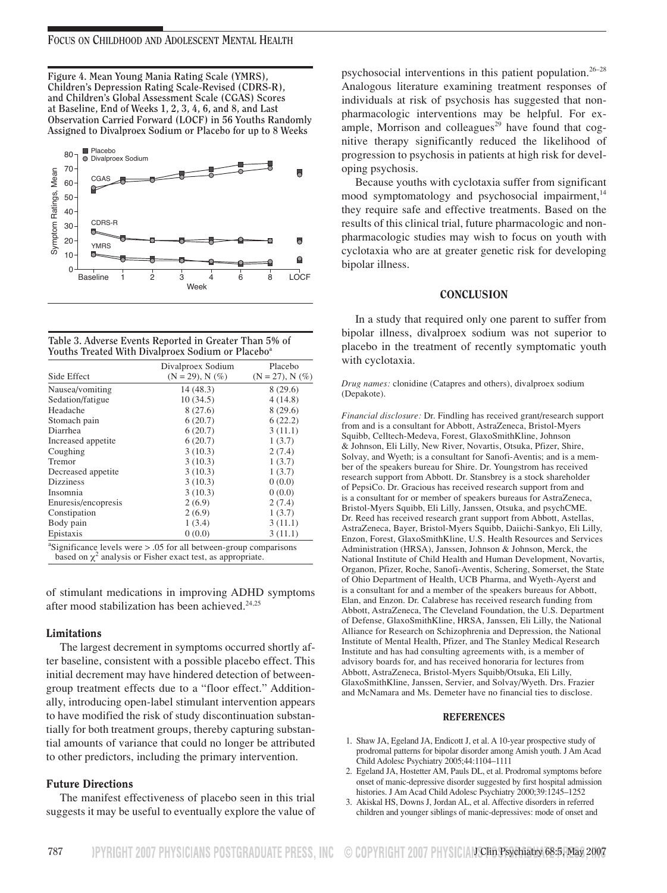**Figure 4. Mean Young Mania Rating Scale (YMRS), Children's Depression Rating Scale-Revised (CDRS-R), and Children's Global Assessment Scale (CGAS) Scores at Baseline, End of Weeks 1, 2, 3, 4, 6, and 8, and Last Observation Carried Forward (LOCF) in 56 Youths Randomly Assigned to Divalproex Sodium or Placebo for up to 8 Weeks**



| Table 3. Adverse Events Reported in Greater Than 5% of        |  |
|---------------------------------------------------------------|--|
| Youths Treated With Divalproex Sodium or Placebo <sup>a</sup> |  |

|                     | Divalproex Sodium                                                                   | Placebo               |
|---------------------|-------------------------------------------------------------------------------------|-----------------------|
| Side Effect         | $(N = 29)$ , N $(\%)$                                                               | $(N = 27)$ , N $(\%)$ |
| Nausea/vomiting     | 14 (48.3)                                                                           | 8(29.6)               |
| Sedation/fatigue    | 10(34.5)                                                                            | 4(14.8)               |
| Headache            | 8(27.6)                                                                             | 8(29.6)               |
| Stomach pain        | 6(20.7)                                                                             | 6(22.2)               |
| Diarrhea            | 6(20.7)                                                                             | 3(11.1)               |
| Increased appetite  | 6(20.7)                                                                             | 1(3.7)                |
| Coughing            | 3(10.3)                                                                             | 2(7.4)                |
| Tremor              | 3(10.3)                                                                             | 1(3.7)                |
| Decreased appetite  | 3(10.3)                                                                             | 1(3.7)                |
| Dizziness           | 3(10.3)                                                                             | 0(0.0)                |
| Insomnia            | 3(10.3)                                                                             | 0(0.0)                |
| Enuresis/encopresis | 2(6.9)                                                                              | 2(7.4)                |
| Constipation        | 2(6.9)                                                                              | 1(3.7)                |
| Body pain           | 1(3.4)                                                                              | 3(11.1)               |
| Epistaxis           | 0(0.0)                                                                              | 3(11.1)               |
|                     | $\frac{1}{2}$ Sionificance levels were $\leq 0.5$ for all between group comparisons |                       |

Significance levels were > .05 for all between-group comparisons based on  $\chi^2$  analysis or Fisher exact test, as appropriate.

of stimulant medications in improving ADHD symptoms after mood stabilization has been achieved.<sup>24,25</sup>

#### Limitations

The largest decrement in symptoms occurred shortly after baseline, consistent with a possible placebo effect. This initial decrement may have hindered detection of betweengroup treatment effects due to a "floor effect." Additionally, introducing open-label stimulant intervention appears to have modified the risk of study discontinuation substantially for both treatment groups, thereby capturing substantial amounts of variance that could no longer be attributed to other predictors, including the primary intervention.

## Future Directions

The manifest effectiveness of placebo seen in this trial suggests it may be useful to eventually explore the value of

psychosocial interventions in this patient population.26–28 Analogous literature examining treatment responses of individuals at risk of psychosis has suggested that nonpharmacologic interventions may be helpful. For example, Morrison and colleagues $^{29}$  have found that cognitive therapy significantly reduced the likelihood of progression to psychosis in patients at high risk for developing psychosis.

Because youths with cyclotaxia suffer from significant mood symptomatology and psychosocial impairment, $14$ they require safe and effective treatments. Based on the results of this clinical trial, future pharmacologic and nonpharmacologic studies may wish to focus on youth with cyclotaxia who are at greater genetic risk for developing bipolar illness.

#### **CONCLUSION**

In a study that required only one parent to suffer from bipolar illness, divalproex sodium was not superior to placebo in the treatment of recently symptomatic youth with cyclotaxia.

*Drug names:* clonidine (Catapres and others), divalproex sodium (Depakote).

*Financial disclosure:* Dr. Findling has received grant/research support from and is a consultant for Abbott, AstraZeneca, Bristol-Myers Squibb, Celltech-Medeva, Forest, GlaxoSmithKline, Johnson & Johnson, Eli Lilly, New River, Novartis, Otsuka, Pfizer, Shire, Solvay, and Wyeth; is a consultant for Sanofi-Aventis; and is a member of the speakers bureau for Shire. Dr. Youngstrom has received research support from Abbott. Dr. Stansbrey is a stock shareholder of PepsiCo. Dr. Gracious has received research support from and is a consultant for or member of speakers bureaus for AstraZeneca, Bristol-Myers Squibb, Eli Lilly, Janssen, Otsuka, and psychCME. Dr. Reed has received research grant support from Abbott, Astellas, AstraZeneca, Bayer, Bristol-Myers Squibb, Daiichi-Sankyo, Eli Lilly, Enzon, Forest, GlaxoSmithKline, U.S. Health Resources and Services Administration (HRSA), Janssen, Johnson & Johnson, Merck, the National Institute of Child Health and Human Development, Novartis, Organon, Pfizer, Roche, Sanofi-Aventis, Schering, Somerset, the State of Ohio Department of Health, UCB Pharma, and Wyeth-Ayerst and is a consultant for and a member of the speakers bureaus for Abbott, Elan, and Enzon. Dr. Calabrese has received research funding from Abbott, AstraZeneca, The Cleveland Foundation, the U.S. Department of Defense, GlaxoSmithKline, HRSA, Janssen, Eli Lilly, the National Alliance for Research on Schizophrenia and Depression, the National Institute of Mental Health, Pfizer, and The Stanley Medical Research Institute and has had consulting agreements with, is a member of advisory boards for, and has received honoraria for lectures from Abbott, AstraZeneca, Bristol-Myers Squibb/Otsuka, Eli Lilly, GlaxoSmithKline, Janssen, Servier, and Solvay/Wyeth. Drs. Frazier and McNamara and Ms. Demeter have no financial ties to disclose.

#### REFERENCES

- 1. Shaw JA, Egeland JA, Endicott J, et al. A 10-year prospective study of prodromal patterns for bipolar disorder among Amish youth. J Am Acad Child Adolesc Psychiatry 2005;44:1104–1111
- 2. Egeland JA, Hostetter AM, Pauls DL, et al. Prodromal symptoms before onset of manic-depressive disorder suggested by first hospital admission histories. J Am Acad Child Adolesc Psychiatry 2000;39:1245–1252
- 3. Akiskal HS, Downs J, Jordan AL, et al. Affective disorders in referred children and younger siblings of manic-depressives: mode of onset and